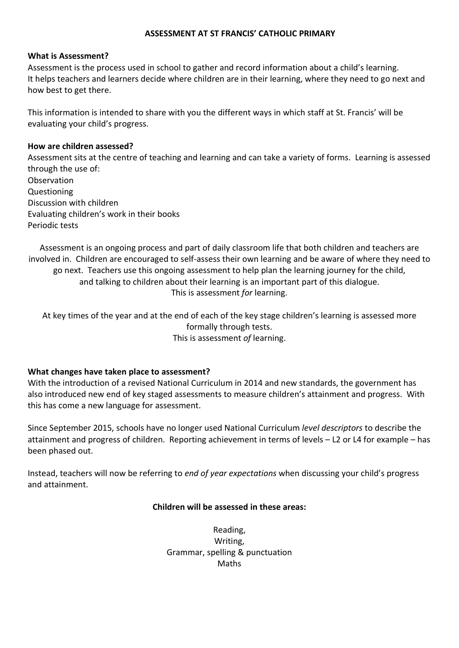### **ASSESSMENT AT ST FRANCIS' CATHOLIC PRIMARY**

#### **What is Assessment?**

Assessment is the process used in school to gather and record information about a child's learning. It helps teachers and learners decide where children are in their learning, where they need to go next and how best to get there.

This information is intended to share with you the different ways in which staff at St. Francis' will be evaluating your child's progress.

#### **How are children assessed?**

Assessment sits at the centre of teaching and learning and can take a variety of forms. Learning is assessed through the use of: **Observation** Questioning Discussion with children Evaluating children's work in their books Periodic tests

Assessment is an ongoing process and part of daily classroom life that both children and teachers are involved in. Children are encouraged to self-assess their own learning and be aware of where they need to go next. Teachers use this ongoing assessment to help plan the learning journey for the child, and talking to children about their learning is an important part of this dialogue. This is assessment *for* learning.

At key times of the year and at the end of each of the key stage children's learning is assessed more formally through tests. This is assessment *of* learning.

### **What changes have taken place to assessment?**

With the introduction of a revised National Curriculum in 2014 and new standards, the government has also introduced new end of key staged assessments to measure children's attainment and progress. With this has come a new language for assessment.

Since September 2015, schools have no longer used National Curriculum *level descriptors* to describe the attainment and progress of children. Reporting achievement in terms of levels – L2 or L4 for example – has been phased out.

Instead, teachers will now be referring to *end of year expectations* when discussing your child's progress and attainment.

### **Children will be assessed in these areas:**

Reading, Writing, Grammar, spelling & punctuation Maths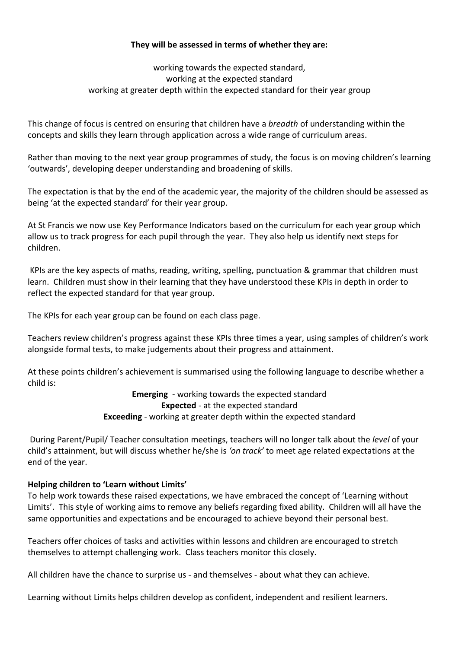# **They will be assessed in terms of whether they are:**

working towards the expected standard, working at the expected standard working at greater depth within the expected standard for their year group

This change of focus is centred on ensuring that children have a *breadth* of understanding within the concepts and skills they learn through application across a wide range of curriculum areas.

Rather than moving to the next year group programmes of study, the focus is on moving children's learning 'outwards', developing deeper understanding and broadening of skills.

The expectation is that by the end of the academic year, the majority of the children should be assessed as being 'at the expected standard' for their year group.

At St Francis we now use Key Performance Indicators based on the curriculum for each year group which allow us to track progress for each pupil through the year. They also help us identify next steps for children.

 KPIs are the key aspects of maths, reading, writing, spelling, punctuation & grammar that children must learn. Children must show in their learning that they have understood these KPIs in depth in order to reflect the expected standard for that year group.

The KPIs for each year group can be found on each class page.

Teachers review children's progress against these KPIs three times a year, using samples of children's work alongside formal tests, to make judgements about their progress and attainment.

At these points children's achievement is summarised using the following language to describe whether a child is:

> **Emerging** - working towards the expected standard **Expected** - at the expected standard **Exceeding** - working at greater depth within the expected standard

 During Parent/Pupil/ Teacher consultation meetings, teachers will no longer talk about the *level* of your child's attainment, but will discuss whether he/she is *'on track'* to meet age related expectations at the end of the year.

# **Helping children to 'Learn without Limits'**

To help work towards these raised expectations, we have embraced the concept of 'Learning without Limits'. This style of working aims to remove any beliefs regarding fixed ability. Children will all have the same opportunities and expectations and be encouraged to achieve beyond their personal best.

Teachers offer choices of tasks and activities within lessons and children are encouraged to stretch themselves to attempt challenging work. Class teachers monitor this closely.

All children have the chance to surprise us - and themselves - about what they can achieve.

Learning without Limits helps children develop as confident, independent and resilient learners.